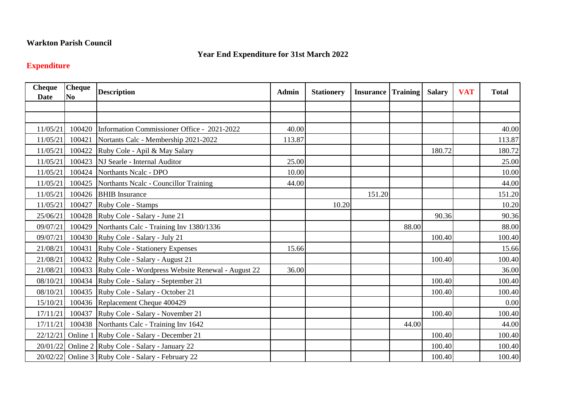## **Warkton Parish Council**

## **Year End Expenditure for 31st March 2022**

## **Expenditure**

| <b>Cheque</b><br>Date | <b>Cheque</b><br>N <sub>0</sub> | <b>Description</b>                                       | <b>Admin</b> | <b>Stationery</b> | <b>Insurance Training</b> |       | <b>Salary</b> | <b>VAT</b> | <b>Total</b> |
|-----------------------|---------------------------------|----------------------------------------------------------|--------------|-------------------|---------------------------|-------|---------------|------------|--------------|
|                       |                                 |                                                          |              |                   |                           |       |               |            |              |
|                       |                                 |                                                          |              |                   |                           |       |               |            |              |
| 11/05/21              |                                 | 100420 Information Commissioner Office - 2021-2022       | 40.00        |                   |                           |       |               |            | 40.00        |
| 11/05/21              |                                 | 100421 Nortants Calc - Membership 2021-2022              | 113.87       |                   |                           |       |               |            | 113.87       |
| 11/05/21              |                                 | 100422 Ruby Cole - Apil & May Salary                     |              |                   |                           |       | 180.72        |            | 180.72       |
| 11/05/21              |                                 | 100423   NJ Searle - Internal Auditor                    | 25.00        |                   |                           |       |               |            | 25.00        |
| 11/05/21              |                                 | 100424 Northants Neale - DPO                             | 10.00        |                   |                           |       |               |            | 10.00        |
| 11/05/21              |                                 | 100425 Northants Neale - Councillor Training             | 44.00        |                   |                           |       |               |            | 44.00        |
| 11/05/21              |                                 | 100426 BHIB Insurance                                    |              |                   | 151.20                    |       |               |            | 151.20       |
| 11/05/21              | 100427                          | Ruby Cole - Stamps                                       |              | 10.20             |                           |       |               |            | 10.20        |
| 25/06/21              |                                 | 100428 Ruby Cole - Salary - June 21                      |              |                   |                           |       | 90.36         |            | 90.36        |
| 09/07/21              | 100429                          | Northants Calc - Training Inv 1380/1336                  |              |                   |                           | 88.00 |               |            | 88.00        |
| 09/07/21              |                                 | 100430 Ruby Cole - Salary - July 21                      |              |                   |                           |       | 100.40        |            | 100.40       |
| 21/08/21              |                                 | 100431 Ruby Cole - Stationery Expenses                   | 15.66        |                   |                           |       |               |            | 15.66        |
| 21/08/21              |                                 | 100432 Ruby Cole - Salary - August 21                    |              |                   |                           |       | 100.40        |            | 100.40       |
| 21/08/21              |                                 | 100433 Ruby Cole - Wordpress Website Renewal - August 22 | 36.00        |                   |                           |       |               |            | 36.00        |
| 08/10/21              |                                 | 100434 Ruby Cole - Salary - September 21                 |              |                   |                           |       | 100.40        |            | 100.40       |
| 08/10/21              |                                 | 100435 Ruby Cole - Salary - October 21                   |              |                   |                           |       | 100.40        |            | 100.40       |
| 15/10/21              |                                 | 100436 Replacement Cheque 400429                         |              |                   |                           |       |               |            | 0.00         |
| 17/11/21              |                                 | 100437 Ruby Cole - Salary - November 21                  |              |                   |                           |       | 100.40        |            | 100.40       |
| 17/11/21              |                                 | 100438 Northants Calc - Training Inv 1642                |              |                   |                           | 44.00 |               |            | 44.00        |
| 22/12/21              |                                 | Online 1 Ruby Cole - Salary - December 21                |              |                   |                           |       | 100.40        |            | 100.40       |
| 20/01/22              |                                 | Online 2 Ruby Cole - Salary - January 22                 |              |                   |                           |       | 100.40        |            | 100.40       |
|                       |                                 | 20/02/22 Online 3 Ruby Cole - Salary - February 22       |              |                   |                           |       | 100.40        |            | 100.40       |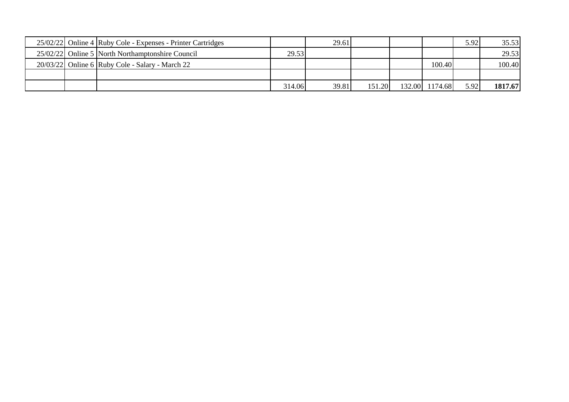|  | 25/02/22 Online 4 Ruby Cole - Expenses - Printer Cartridges |        | 29.61 |        |                | 5.92 | 35.53   |
|--|-------------------------------------------------------------|--------|-------|--------|----------------|------|---------|
|  | 25/02/22 Online 5 North Northamptonshire Council            | 29.53  |       |        |                |      | 29.53   |
|  | $20/03/22$ Online 6 Ruby Cole - Salary - March 22           |        |       |        | 100.40         |      | 100.40  |
|  |                                                             |        |       |        |                |      |         |
|  |                                                             | 314.06 | 39.81 | 151.20 | 132.00 1174.68 | 5.92 | 1817.67 |